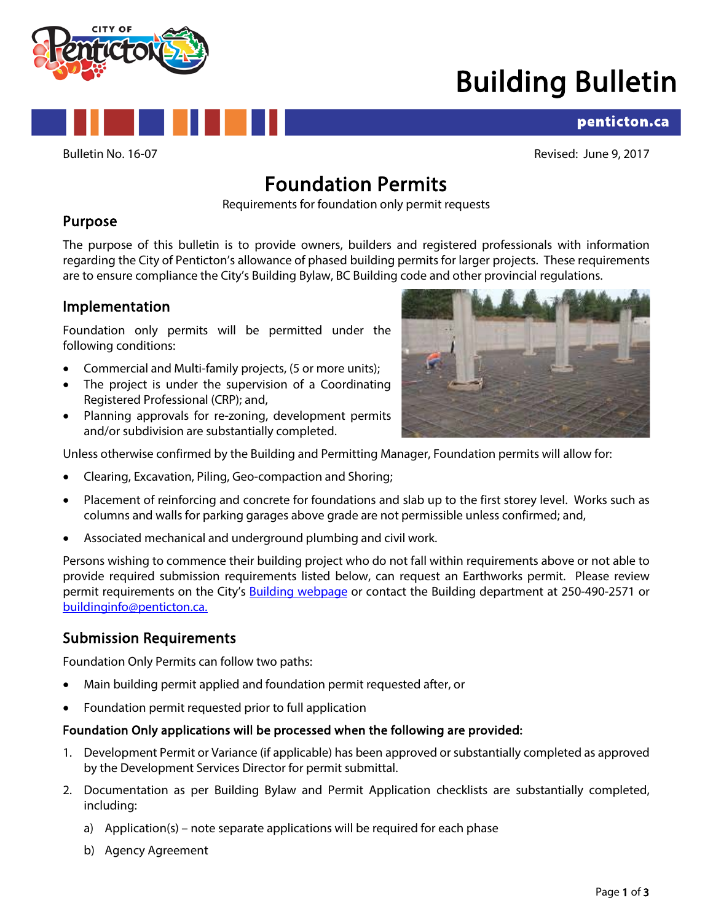

## Building Bulletin

## penticton.ca

Bulletin No. 16-07 Revised: June 9, 2017

# **Foundation Permits**<br>Requirements for foundation only permit requests

## Purpose

The purpose of this bulletin is to provide owners, builders and registered professionals with information regarding the City of Penticton's allowance of phased building permits for larger projects. These requirements are to ensure compliance the City's Building Bylaw, BC Building code and other provincial regulations.

## Implementation

Foundation only permits will be permitted under the following conditions:

- Commercial and Multi-family projects, (5 or more units);
- The project is under the supervision of a Coordinating Registered Professional (CRP); and,
- Planning approvals for re-zoning, development permits and/or subdivision are substantially completed.



Unless otherwise confirmed by the Building and Permitting Manager, Foundation permits will allow for:

- Clearing, Excavation, Piling, Geo-compaction and Shoring;
- Placement of reinforcing and concrete for foundations and slab up to the first storey level. Works such as columns and walls for parking garages above grade are not permissible unless confirmed; and,
- Associated mechanical and underground plumbing and civil work.

Persons wishing to commence their building project who do not fall within requirements above or not able to provide required submission requirements listed below, can request an Earthworks permit. Please review permit requirements on the City's [Building webpage](https://www.penticton.ca/EN/main/departments/building/applications-and-forms.html) or contact the Building department at 250-490-2571 or [buildinginfo@penticton.ca.](mailto:buildinginfo@penticton.ca)

## Submission Requirements

Foundation Only Permits can follow two paths:

- Main building permit applied and foundation permit requested after, or
- Foundation permit requested prior to full application

#### Foundation Only applications will be processed when the following are provided:

- 1. Development Permit or Variance (if applicable) has been approved or substantially completed as approved by the Development Services Director for permit submittal.
- 2. Documentation as per Building Bylaw and Permit Application checklists are substantially completed, including:
	- a) Application(s) note separate applications will be required for each phase
	- b) Agency Agreement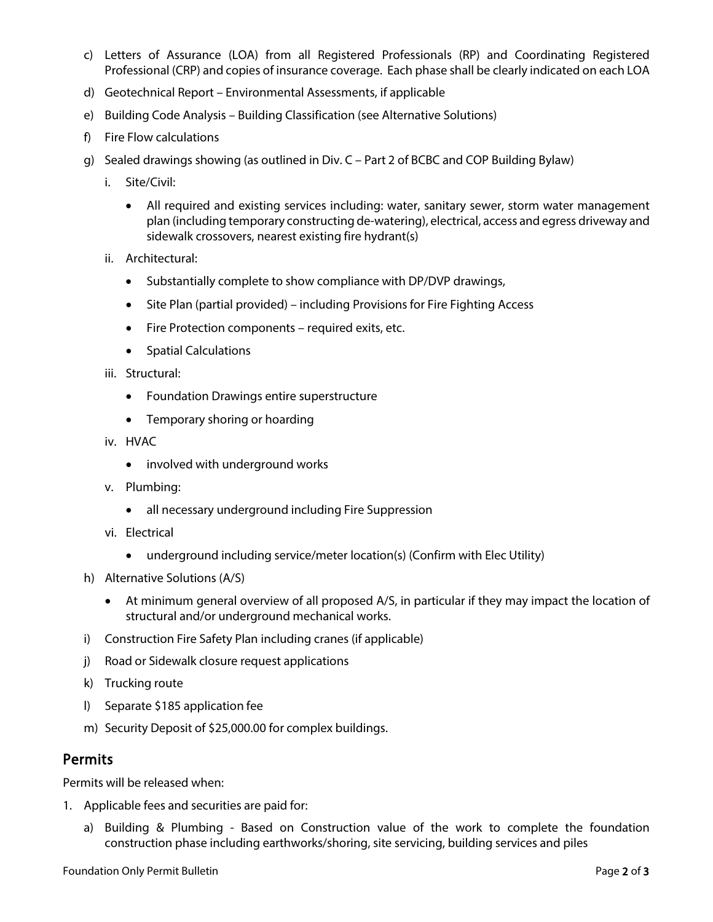- c) Letters of Assurance (LOA) from all Registered Professionals (RP) and Coordinating Registered Professional (CRP) and copies of insurance coverage. Each phase shall be clearly indicated on each LOA
- d) Geotechnical Report Environmental Assessments, if applicable
- e) Building Code Analysis Building Classification (see Alternative Solutions)
- f) Fire Flow calculations
- g) Sealed drawings showing (as outlined in Div. C Part 2 of BCBC and COP Building Bylaw)
	- i. Site/Civil:
		- All required and existing services including: water, sanitary sewer, storm water management plan (including temporary constructing de-watering), electrical, access and egress driveway and sidewalk crossovers, nearest existing fire hydrant(s)
	- ii. Architectural:
		- Substantially complete to show compliance with DP/DVP drawings,
		- Site Plan (partial provided) including Provisions for Fire Fighting Access
		- Fire Protection components required exits, etc.
		- Spatial Calculations
	- iii. Structural:
		- Foundation Drawings entire superstructure
		- Temporary shoring or hoarding
	- iv. HVAC
		- involved with underground works
	- v. Plumbing:
		- all necessary underground including Fire Suppression
	- vi. Electrical
		- underground including service/meter location(s) (Confirm with Elec Utility)
- h) Alternative Solutions (A/S)
	- At minimum general overview of all proposed A/S, in particular if they may impact the location of structural and/or underground mechanical works.
- i) Construction Fire Safety Plan including cranes (if applicable)
- j) Road or Sidewalk closure request applications
- k) Trucking route
- l) Separate \$185 application fee
- m) Security Deposit of \$25,000.00 for complex buildings.

### Permits

Permits will be released when:

- 1. Applicable fees and securities are paid for:
	- a) Building & Plumbing Based on Construction value of the work to complete the foundation construction phase including earthworks/shoring, site servicing, building services and piles